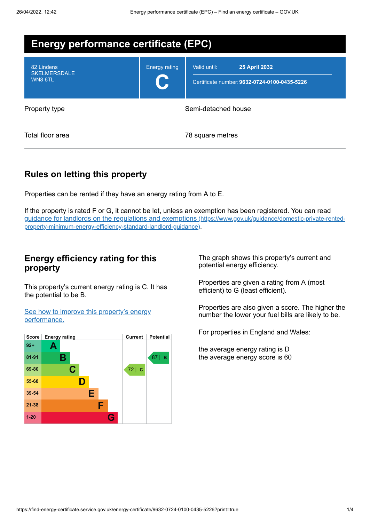| <b>Energy performance certificate (EPC)</b>  |                      |                                                                                      |
|----------------------------------------------|----------------------|--------------------------------------------------------------------------------------|
| 82 Lindens<br><b>SKELMERSDALE</b><br>WN8 6TL | <b>Energy rating</b> | Valid until:<br><b>25 April 2032</b><br>Certificate number: 9632-0724-0100-0435-5226 |
| Property type                                | Semi-detached house  |                                                                                      |
| Total floor area                             |                      | 78 square metres                                                                     |

# **Rules on letting this property**

Properties can be rented if they have an energy rating from A to E.

If the property is rated F or G, it cannot be let, unless an exemption has been registered. You can read guidance for landlords on the regulations and exemptions (https://www.gov.uk/guidance/domestic-private-rented[property-minimum-energy-efficiency-standard-landlord-guidance\)](https://www.gov.uk/guidance/domestic-private-rented-property-minimum-energy-efficiency-standard-landlord-guidance).

## **Energy efficiency rating for this property**

This property's current energy rating is C. It has the potential to be B.

See how to improve this property's energy [performance.](#page-2-0)



The graph shows this property's current and potential energy efficiency.

Properties are given a rating from A (most efficient) to G (least efficient).

Properties are also given a score. The higher the number the lower your fuel bills are likely to be.

For properties in England and Wales:

the average energy rating is D the average energy score is 60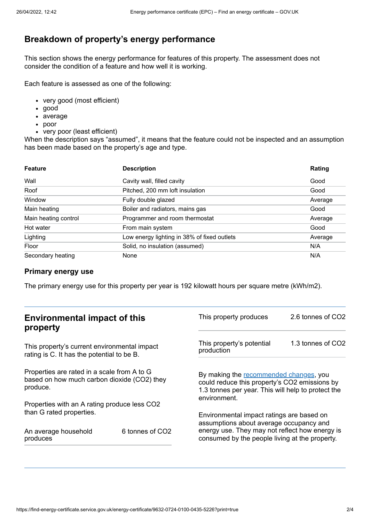# **Breakdown of property's energy performance**

This section shows the energy performance for features of this property. The assessment does not consider the condition of a feature and how well it is working.

Each feature is assessed as one of the following:

- very good (most efficient)
- good
- average
- poor
- very poor (least efficient)

When the description says "assumed", it means that the feature could not be inspected and an assumption has been made based on the property's age and type.

| <b>Feature</b>       | <b>Description</b>                          | Rating  |
|----------------------|---------------------------------------------|---------|
| Wall                 | Cavity wall, filled cavity                  | Good    |
| Roof                 | Pitched, 200 mm loft insulation             | Good    |
| Window               | Fully double glazed                         | Average |
| Main heating         | Boiler and radiators, mains gas             | Good    |
| Main heating control | Programmer and room thermostat              | Average |
| Hot water            | From main system                            | Good    |
| Lighting             | Low energy lighting in 38% of fixed outlets | Average |
| Floor                | Solid, no insulation (assumed)              | N/A     |
| Secondary heating    | None                                        | N/A     |

#### **Primary energy use**

The primary energy use for this property per year is 192 kilowatt hours per square metre (kWh/m2).

| <b>Environmental impact of this</b><br>property                                                        |                             | This property produces                                                                                                                                        | 2.6 tonnes of CO2 |
|--------------------------------------------------------------------------------------------------------|-----------------------------|---------------------------------------------------------------------------------------------------------------------------------------------------------------|-------------------|
| This property's current environmental impact<br>rating is C. It has the potential to be B.             |                             | This property's potential<br>production                                                                                                                       | 1.3 tonnes of CO2 |
| Properties are rated in a scale from A to G<br>based on how much carbon dioxide (CO2) they<br>produce. |                             | By making the recommended changes, you<br>could reduce this property's CO2 emissions by<br>1.3 tonnes per year. This will help to protect the<br>environment. |                   |
| Properties with an A rating produce less CO2                                                           |                             |                                                                                                                                                               |                   |
| than G rated properties.                                                                               |                             | Environmental impact ratings are based on<br>assumptions about average occupancy and                                                                          |                   |
| An average household<br>produces                                                                       | 6 tonnes of CO <sub>2</sub> | energy use. They may not reflect how energy is<br>consumed by the people living at the property.                                                              |                   |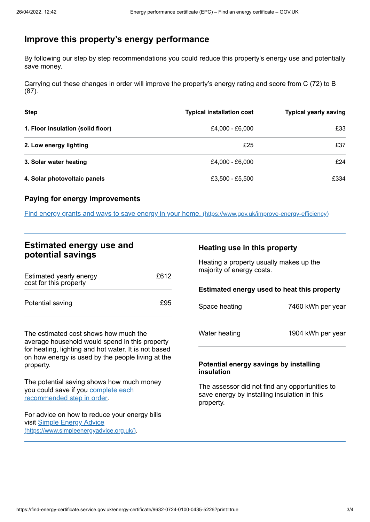## <span id="page-2-0"></span>**Improve this property's energy performance**

By following our step by step recommendations you could reduce this property's energy use and potentially save money.

Carrying out these changes in order will improve the property's energy rating and score from C (72) to B (87).

| <b>Step</b>                       | <b>Typical installation cost</b> | <b>Typical yearly saving</b> |
|-----------------------------------|----------------------------------|------------------------------|
| 1. Floor insulation (solid floor) | £4,000 - £6,000                  | £33                          |
| 2. Low energy lighting            | £25                              | £37                          |
| 3. Solar water heating            | £4,000 - £6,000                  | £24                          |
| 4. Solar photovoltaic panels      | £3,500 - £5,500                  | £334                         |

#### **Paying for energy improvements**

Find energy grants and ways to save energy in your home. [\(https://www.gov.uk/improve-energy-efficiency\)](https://www.gov.uk/improve-energy-efficiency)

## **Estimated energy use and potential savings**

| Estimated yearly energy<br>cost for this property | £612 |
|---------------------------------------------------|------|
| Potential saving                                  | £95  |

The estimated cost shows how much the average household would spend in this property for heating, lighting and hot water. It is not based on how energy is used by the people living at the property.

The potential saving shows how much money you could save if you complete each [recommended](#page-2-0) step in order.

For advice on how to reduce your energy bills visit Simple Energy Advice [\(https://www.simpleenergyadvice.org.uk/\)](https://www.simpleenergyadvice.org.uk/).

#### **Heating use in this property**

Heating a property usually makes up the majority of energy costs.

#### **Estimated energy used to heat this property**

| Space heating | 7460 kWh per year |
|---------------|-------------------|
|               |                   |

Water heating 1904 kWh per year

#### **Potential energy savings by installing insulation**

The assessor did not find any opportunities to save energy by installing insulation in this property.